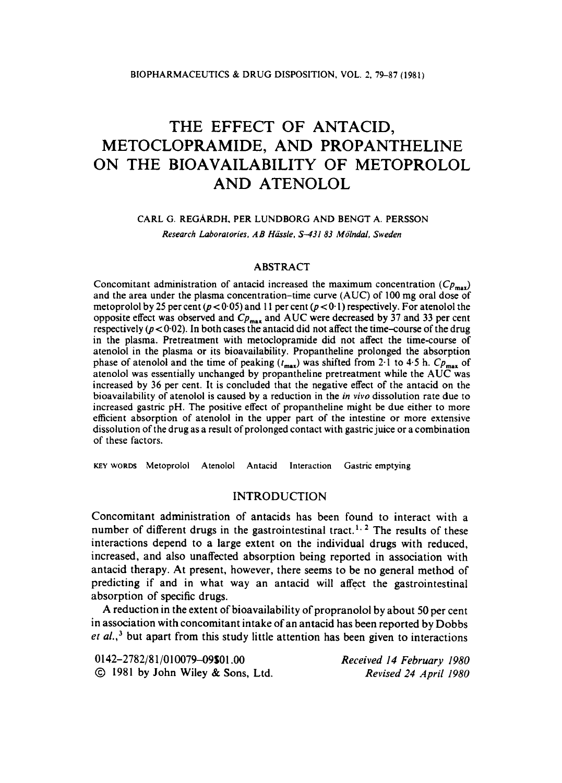# THE EFFECT OF ANTACID, METOCLOPRAMIDE, AND PROPANTHELINE ON THE BIOAVAILABILITY OF METOPROLOL AND ATENOLOL

#### **CARL G. REGARDH. PER LUNDBORG AND BENGT A. PERSSON**

*Research Laboratories. AB Hiisle. S-43183 Molndal. Sweden* 

## ABSTRACT

Concomitant administration of antacid increased the maximum concentration  $(Cp_{max})$ and the area under the plasma concentration-time curve (AUC) of **100** mg oral dose of metoprolol by 25 per cent ( $p < 0.05$ ) and 11 per cent ( $p < 0.1$ ) respectively. For atenolol the opposite effect was observed and  $C_{p_{\text{max}}}$  and AUC were decreased by 37 and 33 per cent respectively ( $p < 0.02$ ). In both cases the antacid did not affect the time-course of the drug in the plasma. Pretreatment with metoclopramide did not affect the time-course of atenolol in the plasma or its bioavailability. Propantheline prolonged the absorption phase of atenolol and the time of peaking  $(t_{\text{max}})$  was shifted from 2.1 to 4.5 h.  $Cp_{\text{max}}$  of atenolol was essentially unchanged by propantheline pretreatment while the AUC was increased by 36 per cent. It is concluded that the negative effect of the antacid on the bioavailability of atenolol is caused by a reduction in the *in vivo* dissolution rate due to increased gastric pH. The positive effect of propantheline might be due either to more efficient absorption of atenolol in the upper part of the intestine or more extensive dissolution of the drug as a result of prolonged contact with gastric juice or a combination of these factors.

**KEY WORDS Metoprolol Atenolol Antacid Interaction Gastric emptying** 

## INTRODUCTION

Concomitant administration of antacids has been found to interact with a number of different drugs in the gastrointestinal tract.<sup>1, 2</sup> The results of these interactions depend to a large extent on the individual drugs with reduced, increased, and also unaffected absorption being reported in association with antacid therapy. At present, however, there seems to be no general method of predicting if and in what way an antacid will affect the gastrointestinal absorption of specific drugs.

A reduction in the extent of bioavailability of propranolol by about 50 per cent in association with concomitant intake of an antacid has been reported by Dobbs et *al.*,<sup>3</sup> but apart from this study little attention has been given to interactions

| 0142-2782/81/010079-09\$01.00     | Received 14 February 1980 |
|-----------------------------------|---------------------------|
| © 1981 by John Wiley & Sons, Ltd. | Revised 24 April 1980     |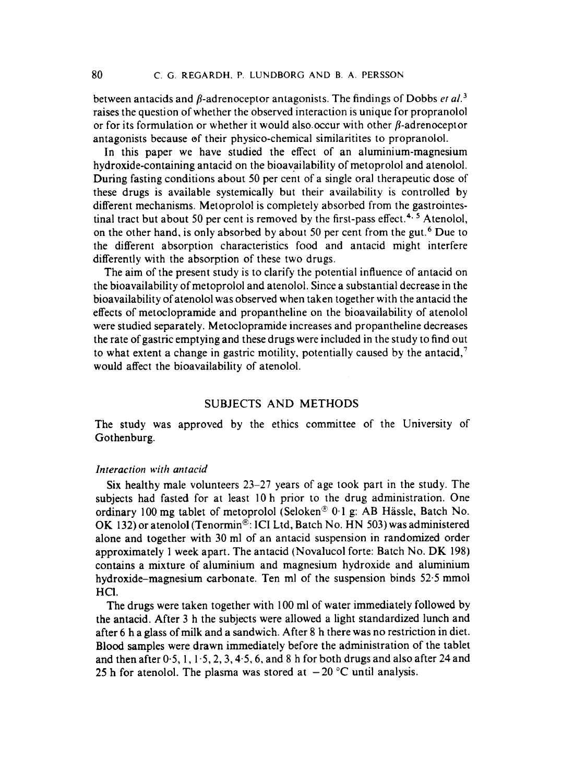between antacids and  $\beta$ -adrenoceptor antagonists. The findings of Dobbs *et al.*<sup>3</sup> raises the question of whether the observed interaction is unique for propranolol or for its formulation or whether it would also occur with other  $\beta$ -adrenoceptor antagonists because of their physico-chemical similaritites to propranolol.

In this paper we have studied the effect of an aluminium-magnesium hydroxide-containing antacid on the bioavailability of metoprolol and atenolol. During fasting conditions about 50 per cent of a single oral therapeutic dose of these drugs is available systemically but their availability is controlled by different mechanisms. Metoprolol is completely absorbed from the gastrointestinal tract but about 50 per cent is removed by the first-pass effect.<sup>4, 5</sup> Atenolol, on the other hand, is only absorbed by about 50 per cent from the gut.<sup>6</sup> Due to the different absorption characteristics food and antacid might interfere differently with the absorption of these two drugs.

The aim of the present study is to clarify the potential influence of antacid on the bioavailability of metoprolol and atenolol. Since a substantial decrease in the bioavailability of atenolol was observed when taken together with the antacid the effects of metoclopramide and propantheline on the bioavailability of atenolol were studied separately. Metoclopramide increases and propantheline decreases the rate of gastric emptying and these drugs were included in the study to find out to what extent a change in gastric motility, potentially caused by the antacid,' would affect the bioavailability of atenolol.

## SUBJECTS AND METHODS

The study was approved by the ethics committee of the University of Gothenburg.

### *Interaction with antacid*

Six healthy male volunteers **23-27** years of age took part in the study. The subjects had fasted for at least 10 h prior to the drug administration. One ordinary 100 mg tablet of metoprolol (Seloken'E **0.1** g: **AB** Hassle, Batch No. OK 132) or atenolol (Tenormin<sup>®</sup>: ICI Ltd, Batch No. HN 503) was administered alone and together with **30** ml of an antacid suspension in randomized order approximately **1** week apart. The antacid (Novalucol forte: Batch No. **DK 198)**  contains a mixture of aluminium and magnesium hydroxide and aluminium hydroxide-magnesium carbonate. Ten ml of the suspension binds **52.5** mmol HCl.

The drugs were taken together with **100** ml of water immediately followed by the antacid. After **3** h the subjects were allowed a light standardized lunch and after *6* **h** a glass of milk and a sandwich. After **8** h there was no restriction in diet. Blood samples were drawn immediately before the administration of the tablet and then after 0.5, **1, 1.5,2,3,4.5,6,** and **8** h for both drugs and also after **24** and 25 h for atenolol. The plasma was stored at  $-20$  °C until analysis.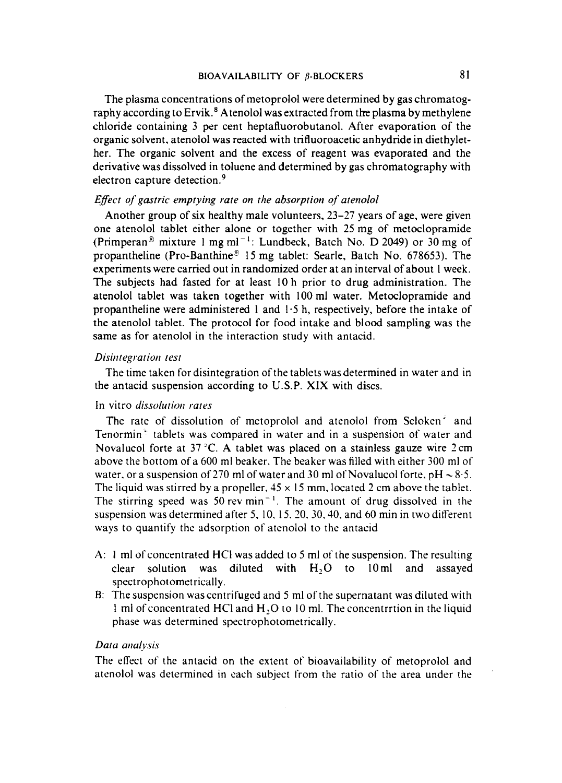The plasma concentrations of metoprolol were determined by gas chromatography according to Ervik.<sup>8</sup> Atenolol was extracted from the plasma by methylene chloride containing **3** per cent heptafluorobutanol. After evaporation of the organic solvent, atenolol was reacted with trifluoroacetic anhydride in diethylether. The organic solvent and the excess of reagent was evaporated and the derivative was dissolved in toluene and determined by gas chromatography with electron capture detection.<sup>9</sup>

#### *Effect of gastric emptying rate on the absorption of atenolol*

Another group of six healthy male volunteers, 23-27 years of age, were given one atenolol tablet either alone or together with 25 mg of metoclopramide (Primperan<sup>®</sup> mixture 1 mg ml<sup>-1</sup>: Lundbeck, Batch No. D 2049) or 30 mg of propantheline (Pro-Banthine<sup>®</sup> 15 mg tablet: Searle, Batch No. 678653). The experiments were carried out in randomized order at an interval of about **1** week. The subjects had fasted for at least 10 h prior to drug administration. The atenolol tablet was taken together with 100 ml water. Metoclopramide and propantheline were administered **1** and 1.5 h, respectively, before the intake of the atenolol tablet. The protocol **for** food intake and blood sampling was the same as for atenolol in the interaction study with antacid.

## *Disiritegratioii lest*

the antacid suspension according to U.S.P. **XIX** with discs. The time taken for disintegration of the tablets was determined in water and in

## In vitro *dissolution* rates

The rate of dissolution of metoprolol and atenolol from Seloken' and Tenormin ' tablets was compared in water and in a suspension of water and Novalucol forte at 37 **"C.** A tablet was placed on a stainless gauze wire 2cm above the bottom of a 600 ml beaker. The beaker was filled with either 300 ml of water, or a suspension of 270 ml of water and 30 ml of Novalucol forte,  $pH \sim 8.5$ . The liquid was stirred by a propeller,  $45 \times 15$  mm, located 2 cm above the tablet. The stirring speed was 50 rev  $min^{-1}$ . The amount of drug dissolved in the suspension was determined after 5, 10, 15, 20, 30, 40, and 60 min in two different ways to quantify the adsorption of atenolol to the antacid

- **A:** I ml of concentrated HCI was added to 5 ml of the suspension. The resulting clear solution was diluted with **H,O** to 10ml and assayed spectrophotometrically.
- B: The suspension wascentrifuged and *5* ml of the supernatant was diluted with 1 ml of concentrated HCl and H, O to 10 ml. The concentrition in the liquid phase was determined spectrophotornetrically.

## Data *analysis*

The effect of the antacid on the extent of bioavailability of metoprolol and atenolol was determined in each subject from the ratio of the area under the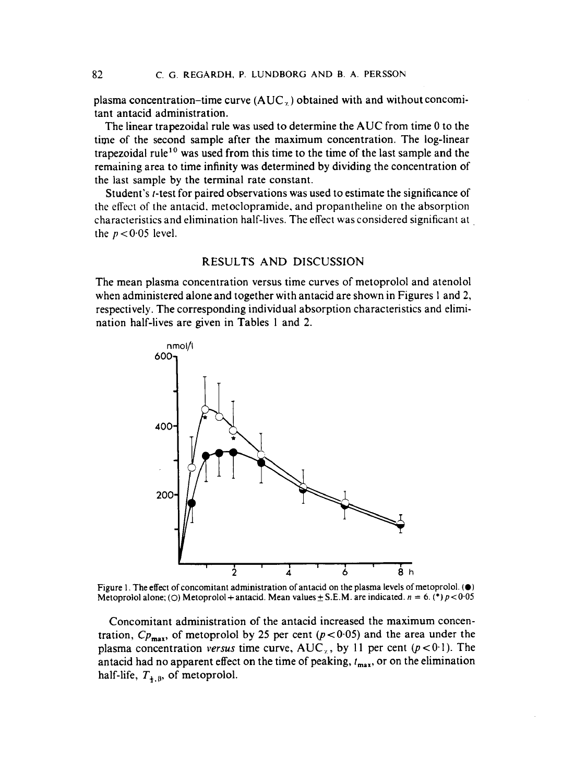plasma concentration-time curve  $(AUC_{\tau})$  obtained with and without concomitant antacid administration.

The linear trapezoidal rule was used to determine the AUC from time 0 to the time of the second sample after the maximum concentration. The log-linear trapezoidal rule<sup>10</sup> was used from this time to the time of the last sample and the remaining area to time infinity was determined by dividing the concentration of the last sample by the terminal rate constant.

Student's *t*-test for paired observations was used to estimate the significance of the effect of the antacid. metoclopramide. and propantheline on the absorption characteristics and elimination half-lives. The effect was considered significant at the  $p < 0.05$  level.

#### RESULTS AND DISCUSSION

The mean plasma concentration versus time curves of metoprolol and atenolol when administered alone and together with antacid are shown in Figures 1 and **2,**  respectively. The corresponding individual absorption characteristics and elimination half-lives are given in Tables 1 and **2.** 



**Figure** 1. **The effect** of **concomitant administration** of **antacid** on **the plasma levels** of **metoprolol.** *(0)*  **Metoprolol alone;** (O) **Metoprolol + antacid. Mean values**  $\pm$  **S.E.M. are indicated.**  $n = 6$ **. (\*)**  $p < 0.05$ 

Concomitant administration of the antacid increased the maximum concentration,  $Cp_{\text{max}}$ , of metoprolol by 25 per cent  $(p<0.05)$  and the area under the plasma concentration *versus* time curve,  $AUC_{\alpha}$ , by 11 per cent ( $p < 0.1$ ). The antacid had no apparent effect on the time of peaking,  $t_{\text{max}}$ , or on the elimination half-life,  $T_{4,8}$ , of metoprolol.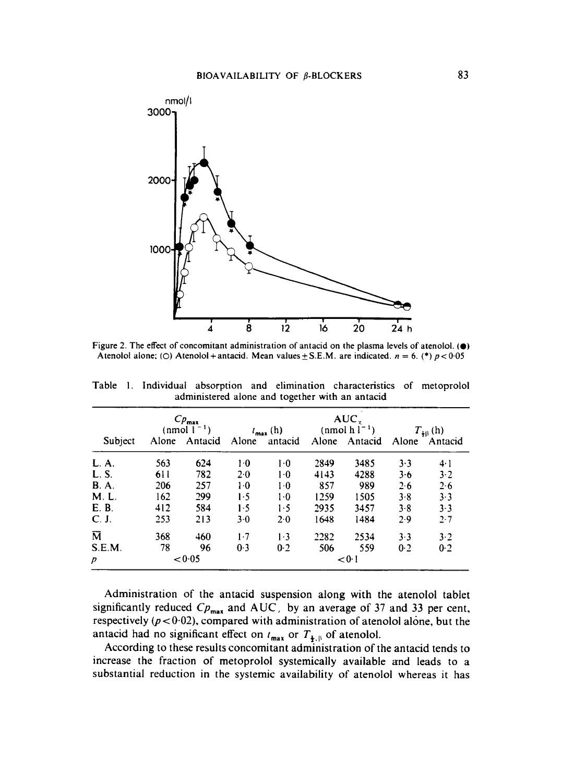

**Figure** *2.* **The effect** of **concomitant administration** of **antacid** on **the plasma levels** of **atenolol.** *(0)*  Atenolol alone; (O) Atenolol + antacid. Mean values  $\pm$  S.E.M. are indicated.  $n = 6$ . (\*)  $p < 0.05$ 

|                         | $C_{p_{\max}}$<br>(nmol $1^{-1}$ ) |               |       | $t_{\text{max}}$ (h) | $AUC_{\tau}$<br>(nmol $h l^{-1}$ ) |               | $T_{\frac{1}{2}\beta}$ (h) |         |
|-------------------------|------------------------------------|---------------|-------|----------------------|------------------------------------|---------------|----------------------------|---------|
| Subject                 |                                    | Alone Antacid | Alone | antacid              |                                    | Alone Antacid | Alone                      | Antacid |
| L. A.                   | 563                                | 624           | $1-0$ | $1-0$                | 2849                               | 3485          | 3.3                        | 4·1     |
| L. S.                   | 611                                | 782           | 2.0   | $1-0$                | 4143                               | 4288          | 3.6                        | 3.2     |
| <b>B.A.</b>             | 206                                | 257           | $1-0$ | $1-0$                | 857                                | 989           | 2.6                        | 2.6     |
| M. L.                   | 162                                | 299           | 1.5   | $1-0$                | 1259                               | 1505          | 3.8                        | 3.3     |
| E.B.                    | 412                                | 584           | 1.5   | 1.5                  | 2935                               | 3457          | 3.8                        | $3 - 3$ |
| C. J.                   | 253                                | 213           | 3.0   | 2.0                  | 1648                               | 1484          | 2.9                        | 2.7     |
| $\overline{\mathsf{M}}$ | 368                                | 460           | $1-7$ | 1.3                  | 2282                               | 2534          | 3.3                        | $3-2$   |
| S.E.M.                  | 78                                 | 96            | 0.3   | 0.2                  | 506                                | 559           | 0.2                        | 0.2     |
| $\overline{p}$          | < 0.05                             |               |       | < 0.1                |                                    |               |                            |         |

Table 1. Individual absorption and elimination characteristics of metoprolol administered alone and together with an antacid

Administration of the antacid suspension along with the atenolol tablet significantly reduced  $CP_{\text{max}}$  and  $AUC$ , by an average of 37 and 33 per cent, respectively  $(p < 0.02)$ , compared with administration of atenolol alone, but the antacid had no significant effect on  $t_{\text{max}}$  or  $T_{\frac{1}{2},\beta}$  of atenolol.

According to these results concomitant administration of the antacid tends to increase the fraction of metoprolol systemically available and leads to a substantial reduction in the systemic availability of atenolol whereas it has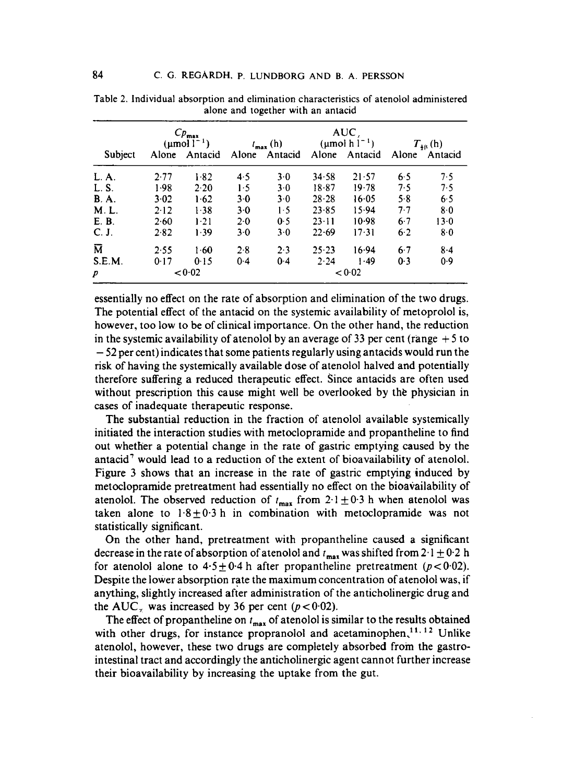|                         | $C p_{\text{max}}$<br>$(\text{µmol l}^{-1})$ |               | $t_{\text{max}}(h)$ |               | AUC<br>$(\text{µmol h} l^{-1})$ |               | $T_{48}$ (h) |         |
|-------------------------|----------------------------------------------|---------------|---------------------|---------------|---------------------------------|---------------|--------------|---------|
| Subject                 |                                              | Alone Antacid |                     | Alone Antacid |                                 | Alone Antacid | Alone        | Antacid |
| L. A.                   | 2.77                                         | 1.82          | 4.5                 | 3.0           | $34 - 58$                       | 21.57         | 6.5          | 7.5     |
| L. S.                   | 1.98                                         | 2.20          | 1.5                 | 3.0           | $18 - 87$                       | 19.78         | 7.5          | 7.5     |
| <b>B.A.</b>             | 3.02                                         | 1.62          | 3·0                 | 3.0           | $28 - 28$                       | 16.05         | 5.8          | 6.5     |
| M. L.                   | 2.12                                         | 1.38          | 3·0                 | 1.5           | $23 - 85$                       | 15.94         | 7.7          | 8.0     |
| E. B.                   | 2.60                                         | $1-21$        | 2.0                 | 0.5           | $23 \cdot 11$                   | 10.98         | 6.7          | 13.0    |
| C. J.                   | 2.82                                         | 1.39          | $3-0$               | 3.0           | $22 - 69$                       | 17.31         | 6.2          | 8.0     |
| $\overline{\mathbf{M}}$ | 2.55                                         | 1.60          | 2.8                 | 2.3           | $25 - 23$                       | 16.94         | 6.7          | $8-4$   |
| S.E.M.                  | 0.17                                         | 0.15          | 0.4                 | $0-4$         | 2.24                            | 1.49          | 0.3          | 0.9     |
| p                       |                                              | < 0.02        |                     |               |                                 | < 0.02        |              |         |

**Table 2. Individual absorption and elimination characteristics** of **atenolol administered alone and together with an antacid** 

essentially no effect on the rate of absorption and elimination of the two drugs. The potential effect of the antacid on the systemic availability of metoprolol is, however, too low to be of clinical importance. On the other hand, the reduction in the systemic availability of atenolol by an average of **33** per cent (range + *5* to - *52* per cent) indicates that some patients regularly using antacids would run the risk of having the systemically available dose of atenolol halved and potentially therefore suffering a reduced therapeutic effect. Since antacids are often used without prescription this cause might well be overlooked by the physician in cases of inadequate therapeutic response.

The substantial reduction in the fraction of atenolol available systemically initiated the interaction studies with metoclopramide and propantheline to find out whether a potential change in the rate of gastric emptying caused by the antacid' would lead to a reduction of the extent of bioavailability of atenolol. Figure **3** shows that an increase in the rate of gastric emptying induced by metoclopramide pretreatment had essentially no effect on the bioavailability of atenolol. The observed reduction of  $t_{\text{max}}$  from  $2.1 \pm 0.3$  h when atenolol was taken alone to  $1.8 \pm 0.3$  h in combination with metoclopramide was not statistically significant.

On the other hand, pretreatment with propantheline caused a significant decrease in the rate of absorption of atenolol and  $t_{\text{max}}$  was shifted from 2.1  $\pm$  0.2 h for atenolol alone to  $4.5 \pm 0.4$  h after propantheline pretreatment ( $p < 0.02$ ). Despite the lower absorption rate the maximum concentration of atenolol was, if anything, slightly increased after administration of the anticholinergic drug and the AUC<sub>y</sub> was increased by 36 per cent  $(p < 0.02)$ .

The effect of propantheline on  $t_{\text{max}}$  of atenolol is similar to the results obtained with other drugs, for instance propranolol and acetaminophen,  $11.12$  Unlike atenolol, however, these two drugs are completely absorbed from the gastrointestinal tract and accordingly the anticholinergic agent cannot further increase their bioavailability by increasing the uptake from the gut.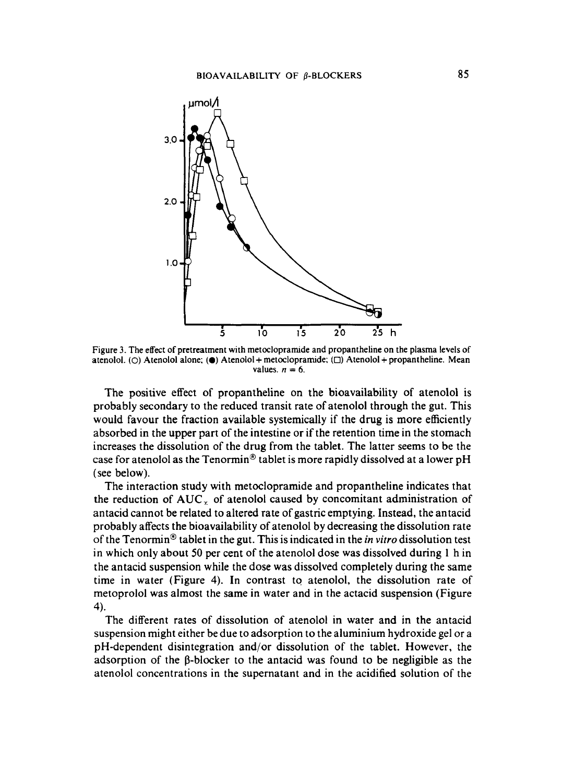

**Figure 3. The effect of pretreatment with metoclopramide and propantheline on the plasma levels of atenolol.** *(0)* **Atenolol alone;** *(0)* **Atenolol+ metoclopramide;** *(0)* **Atenolol** + **propantheline. Mean**  values.  $n = 6$ .

The positive effect of propantheline on the bioavailability of atenolol is probably secondary to the reduced transit rate of atenolol through the gut. This would favour the fraction available systemically if the drug is more efficiently absorbed in the upper part of the intestine or if the retention time in the stomach increases the dissolution of the drug from the tablet. The latter seems to be the case for atenolol as the Tenormin® tablet is more rapidly dissolved at a lower pH (see below).

The interaction study with metoclopramide and propantheline indicates that the reduction of  $AUC<sub>x</sub>$  of atenolol caused by concomitant administration of antacid cannot be related to altered rate of gastric emptying. Instead, the antacid probably affects the bioavailability of atenolol by decreasing the dissolution rate of the Tenormin<sup>®</sup> tablet in the gut. This is indicated in the *in vitro* dissolution test in which only about **50** per cent of the atenolol dose was dissolved during 1 h in the antacid suspension while the dose was dissolved completely during the same time in water (Figure **4).** In contrast to atenolol, the dissolution rate of metoprolol was almost the same in water and in the actacid suspension (Figure **4).** 

The different rates of dissolution of atenolol in water and in the antacid suspension might either be due to adsorption to the aluminium hydroxide gel or a pH-dependent disintegration and/or dissolution of the tablet. However, the adsorption of the  $\beta$ -blocker to the antacid was found to be negligible as the atenolol concentrations in the supernatant and in the acidified solution of the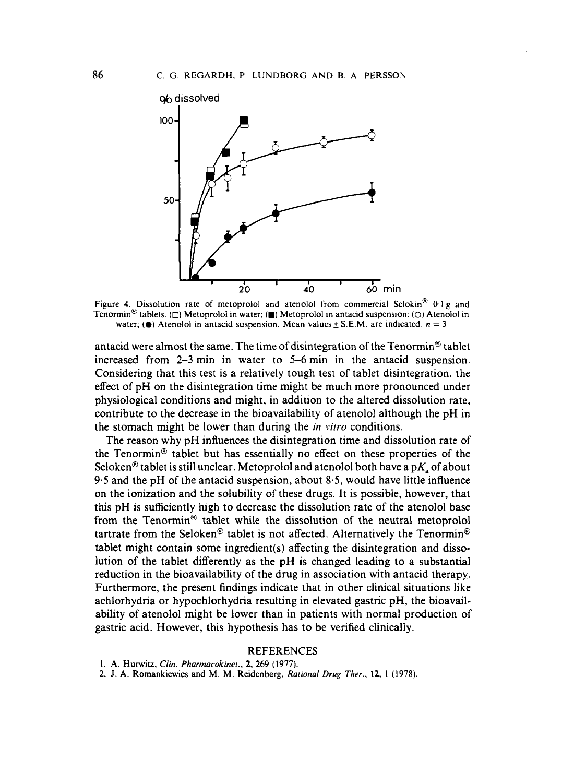

Figure 4. Dissolution rate of metoprolol and atenolol from commercial Selokin<sup>®</sup> 0.1 g and **Tenomin@ tablets.** *(0)* **Metoprolol in water: (w) Metoprolol in antacid suspension;** *(0)* **Atenolol in water;** ( $\bullet$ ) Atenolol in antacid suspension. Mean values  $\pm$  S.E.M. are indicated.  $n = 3$ 

antacid were almost the same. The time of disintegration of the Tenormin<sup>®</sup> tablet increased from **2-3** min in water to 5-6 min in the antacid suspension. Considering that this test is a relatively tough test of tablet disintegration, the effect of pH on the disintegration time might be much more pronounced under physiological conditions and might, in addition to the altered dissolution rate, contribute to the decrease in the bioavailability of atenolol although the pH in the stomach might be lower than during the *in virro* conditions.

The reason why pH influences the disintegration time and dissolution rate of the Tenormin@ tablet but has essentially no effect on these properties of the Seloken<sup>®</sup> tablet is still unclear. Metoprolol and atenolol both have a p $K<sub>s</sub>$  of about 9.5 and the pH of the antacid suspension, about *8.5,* would have little influence on the ionization and the solubility of these drugs. It is possible, however, that this pH is sufficiently high to decrease the dissolution rate of the atenolol base from the Tenormin® tablet while the dissolution of the neutral metoprolol tartrate from the Seloken® tablet is not affected. Alternatively the Tenormin® tablet might contain some ingredient( **s)** affecting the disintegration and dissolution of the tablet differently as the pH is changed leading to a substantial reduction in the bioavailability of the drug in association with antacid therapy. Furthermore, the present findings indicate that in other clinical situations like achlorhydria or hypochlorhydria resulting in elevated gastric pH, the bioavailability of atenolol might be lower than in patients with normal production of gastric acid. However, this hypothesis has to be verified clinically.

#### **REFERENCES**

**1. A. Hunvitz,** *Clin. Pharmacokinet..* **2, 269 (1977).** 

**2. J. A. Romankiewics and M. M. Reidenberg.** *Rational Drug Ther.,* **12. 1 (1978).**